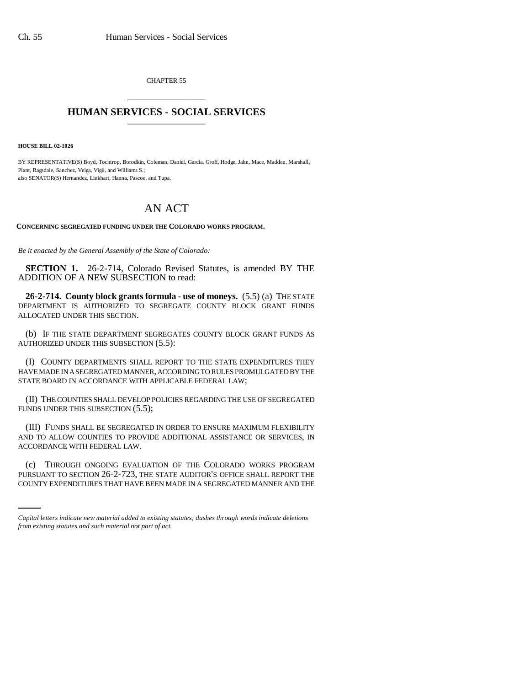CHAPTER 55 \_\_\_\_\_\_\_\_\_\_\_\_\_\_\_

## **HUMAN SERVICES - SOCIAL SERVICES** \_\_\_\_\_\_\_\_\_\_\_\_\_\_\_

**HOUSE BILL 02-1026**

BY REPRESENTATIVE(S) Boyd, Tochtrop, Borodkin, Coleman, Daniel, Garcia, Groff, Hodge, Jahn, Mace, Madden, Marshall, Plant, Ragsdale, Sanchez, Veiga, Vigil, and Williams S.; also SENATOR(S) Hernandez, Linkhart, Hanna, Pascoe, and Tupa.

## AN ACT

**CONCERNING SEGREGATED FUNDING UNDER THE COLORADO WORKS PROGRAM.**

*Be it enacted by the General Assembly of the State of Colorado:*

**SECTION 1.** 26-2-714, Colorado Revised Statutes, is amended BY THE ADDITION OF A NEW SUBSECTION to read:

**26-2-714. County block grants formula - use of moneys.** (5.5) (a) THE STATE DEPARTMENT IS AUTHORIZED TO SEGREGATE COUNTY BLOCK GRANT FUNDS ALLOCATED UNDER THIS SECTION.

(b) IF THE STATE DEPARTMENT SEGREGATES COUNTY BLOCK GRANT FUNDS AS AUTHORIZED UNDER THIS SUBSECTION (5.5):

(I) COUNTY DEPARTMENTS SHALL REPORT TO THE STATE EXPENDITURES THEY HAVE MADE IN A SEGREGATED MANNER, ACCORDING TO RULES PROMULGATED BY THE STATE BOARD IN ACCORDANCE WITH APPLICABLE FEDERAL LAW;

(II) THE COUNTIES SHALL DEVELOP POLICIES REGARDING THE USE OF SEGREGATED FUNDS UNDER THIS SUBSECTION  $(5.5)$ ;

(III) FUNDS SHALL BE SEGREGATED IN ORDER TO ENSURE MAXIMUM FLEXIBILITY AND TO ALLOW COUNTIES TO PROVIDE ADDITIONAL ASSISTANCE OR SERVICES, IN ACCORDANCE WITH FEDERAL LAW.

(c) THROUGH ONGOING EVALUATION OF THE COLORADO WORKS PROGRAM PURSUANT TO SECTION 26-2-723, THE STATE AUDITOR'S OFFICE SHALL REPORT THE COUNTY EXPENDITURES THAT HAVE BEEN MADE IN A SEGREGATED MANNER AND THE

*Capital letters indicate new material added to existing statutes; dashes through words indicate deletions from existing statutes and such material not part of act.*